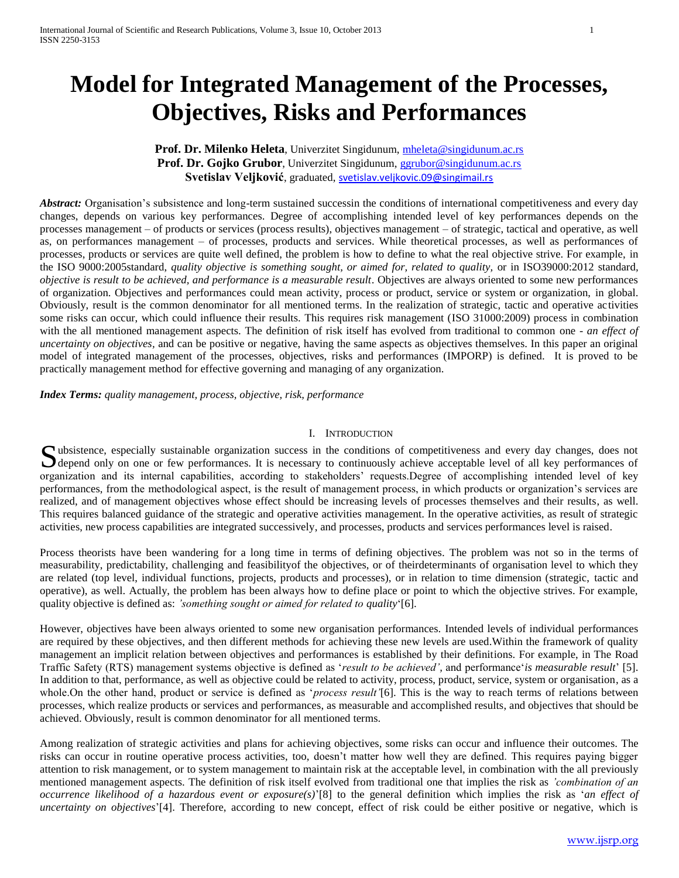# **Model for Integrated Management of the Processes, Objectives, Risks and Performances**

# **Prof. Dr. Milenko Heleta**, Univerzitet Singidunum, [mheleta@singidunum.ac.rs](mailto:mheleta@singidunum.ac.rs) **Prof. Dr. Gojko Grubor**, Univerzitet Singidunum, [ggrubor@singidunum.ac.rs](mailto:ggrubor@singidunum.ac.rs) Svetislav Veljković, graduated, **[svetislav.veljkovic.09@singimail.rs](mailto:svetislav.veljkovic.09@singimail.rs)**

*Abstract:* Organisation's subsistence and long-term sustained successin the conditions of international competitiveness and every day changes, depends on various key performances. Degree of accomplishing intended level of key performances depends on the processes management – of products or services (process results), objectives management – of strategic, tactical and operative, as well as, on performances management – of processes, products and services. While theoretical processes, as well as performances of processes, products or services are quite well defined, the problem is how to define to what the real objective strive. For example, in the ISO 9000:2005standard, *quality objective is something sought, or aimed for, related to quality,* or in ISO39000:2012 standard*, objective is result to be achieved, and performance is a measurable result*. Objectives are always oriented to some new performances of organization. Objectives and performances could mean activity, process or product, service or system or organization, in global. Obviously, result is the common denominator for all mentioned terms. In the realization of strategic, tactic and operative activities some risks can occur, which could influence their results. This requires risk management (ISO 31000:2009) process in combination with the all mentioned management aspects. The definition of risk itself has evolved from traditional to common one - *an effect of uncertainty on objectives,* and can be positive or negative, having the same aspects as objectives themselves. In this paper an original model of integrated management of the processes, objectives, risks and performances (IMPORP) is defined. It is proved to be practically management method for effective governing and managing of any organization.

*Index Terms: quality management, process, objective, risk, performance* 

# I. INTRODUCTION

Subsistence, especially sustainable organization success in the conditions of competitiveness and every day changes, does not depend only on one or few performances. It is necessary to continuously achieve acceptable level depend only on one or few performances. It is necessary to continuously achieve acceptable level of all key performances of organization and its internal capabilities, according to stakeholders' requests.Degree of accomplishing intended level of key performances, from the methodological aspect, is the result of management process, in which products or organization's services are realized, and of management objectives whose effect should be increasing levels of processes themselves and their results, as well. This requires balanced guidance of the strategic and operative activities management. In the operative activities, as result of strategic activities, new process capabilities are integrated successively, and processes, products and services performances level is raised.

Process theorists have been wandering for a long time in terms of defining objectives. The problem was not so in the terms of measurability, predictability, challenging and feasibilityof the objectives, or of theirdeterminants of organisation level to which they are related (top level, individual functions, projects, products and processes), or in relation to time dimension (strategic, tactic and operative), as well. Actually, the problem has been always how to define place or point to which the objective strives. For example, quality objective is defined as: *'something sought or aimed for related to quality*'[6].

However, objectives have been always oriented to some new organisation performances. Intended levels of individual performances are required by these objectives, and then different methods for achieving these new levels are used.Within the framework of quality management an implicit relation between objectives and performances is established by their definitions. For example, in The Road Traffic Safety (RTS) management systems objective is defined as '*result to be achieved',* and performance'*is measurable result*' [5]. In addition to that, performance, as well as objective could be related to activity, process, product, service, system or organisation, as a whole.On the other hand, product or service is defined as '*process result'*[6]. This is the way to reach terms of relations between processes, which realize products or services and performances, as measurable and accomplished results, and objectives that should be achieved. Obviously, result is common denominator for all mentioned terms.

Among realization of strategic activities and plans for achieving objectives, some risks can occur and influence their outcomes. The risks can occur in routine operative process activities, too, doesn't matter how well they are defined. This requires paying bigger attention to risk management, or to system management to maintain risk at the acceptable level, in combination with the all previously mentioned management aspects. The definition of risk itself evolved from traditional one that implies the risk as *'combination of an occurrence likelihood of a hazardous event or exposure(s)*'[8] to the general definition which implies the risk as '*an effect of uncertainty on objectives*'[4]. Therefore, according to new concept, effect of risk could be either positive or negative, which is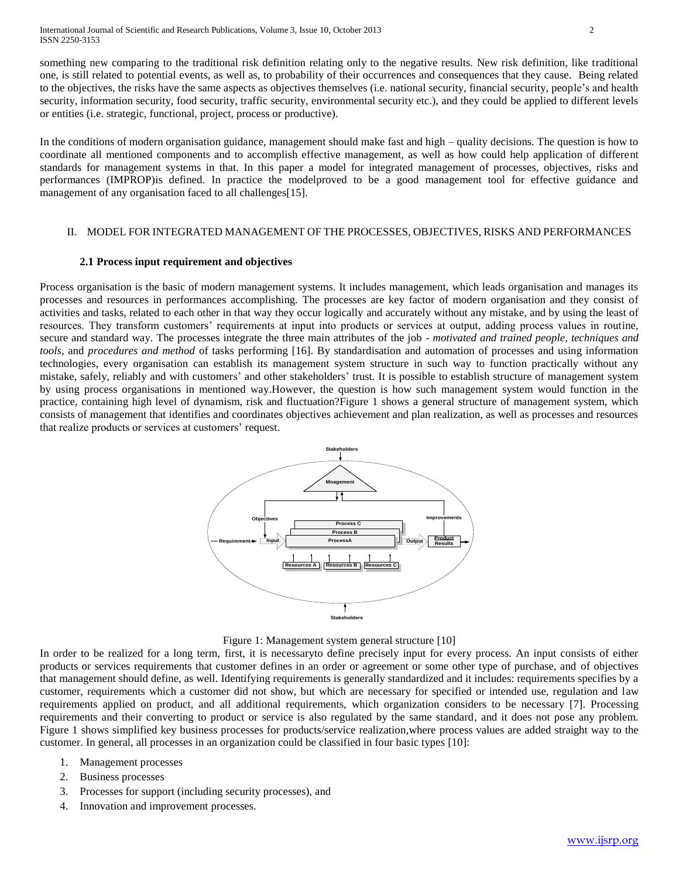International Journal of Scientific and Research Publications, Volume 3, Issue 10, October 2013 2 ISSN 2250-3153

something new comparing to the traditional risk definition relating only to the negative results. New risk definition, like traditional one, is still related to potential events, as well as, to probability of their occurrences and consequences that they cause. Being related to the objectives, the risks have the same aspects as objectives themselves (i.e. national security, financial security, people's and health security, information security, food security, traffic security, environmental security etc.), and they could be applied to different levels or entities (i.e. strategic, functional, project, process or productive).

In the conditions of modern organisation guidance, management should make fast and high – quality decisions. The question is how to coordinate all mentioned components and to accomplish effective management, as well as how could help application of different standards for management systems in that. In this paper a model for integrated management of processes, objectives, risks and performances (IMPROP)is defined. In practice the modelproved to be a good management tool for effective guidance and management of any organisation faced to all challenges[15].

# II. MODEL FOR INTEGRATED MANAGEMENT OF THE PROCESSES, OBJECTIVES, RISKS AND PERFORMANCES

### **2.1 Process input requirement and objectives**

Process organisation is the basic of modern management systems. It includes management, which leads organisation and manages its processes and resources in performances accomplishing. The processes are key factor of modern organisation and they consist of activities and tasks, related to each other in that way they occur logically and accurately without any mistake, and by using the least of resources. They transform customers' requirements at input into products or services at output, adding process values in routine, secure and standard way. The processes integrate the three main attributes of the job - *motivated and trained people*, *techniques and tools*, and *procedures and method* of tasks performing [16]. By standardisation and automation of processes and using information technologies, every organisation can establish its management system structure in such way to function practically without any mistake, safely, reliably and with customers' and other stakeholders' trust. It is possible to establish structure of management system by using process organisations in mentioned way.However, the question is how such management system would function in the practice, containing high level of dynamism, risk and fluctuation?Figure 1 shows a general structure of management system, which consists of management that identifies and coordinates objectives achievement and plan realization, as well as processes and resources that realize products or services at customers' request.



### Figure 1: Management system general structure [10]

In order to be realized for a long term, first, it is necessaryto define precisely input for every process. An input consists of either products or services requirements that customer defines in an order or agreement or some other type of purchase, and of objectives that management should define, as well. Identifying requirements is generally standardized and it includes: requirements specifies by a customer, requirements which a customer did not show, but which are necessary for specified or intended use, regulation and law requirements applied on product, and all additional requirements, which organization considers to be necessary [7]. Processing requirements and their converting to product or service is also regulated by the same standard, and it does not pose any problem. Figure 1 shows simplified key business processes for products/service realization,where process values are added straight way to the customer. In general, all processes in an organization could be classified in four basic types [10]:

- 1. Management processes
- 2. Business processes
- 3. Processes for support (including security processes), and
- 4. Innovation and improvement processes.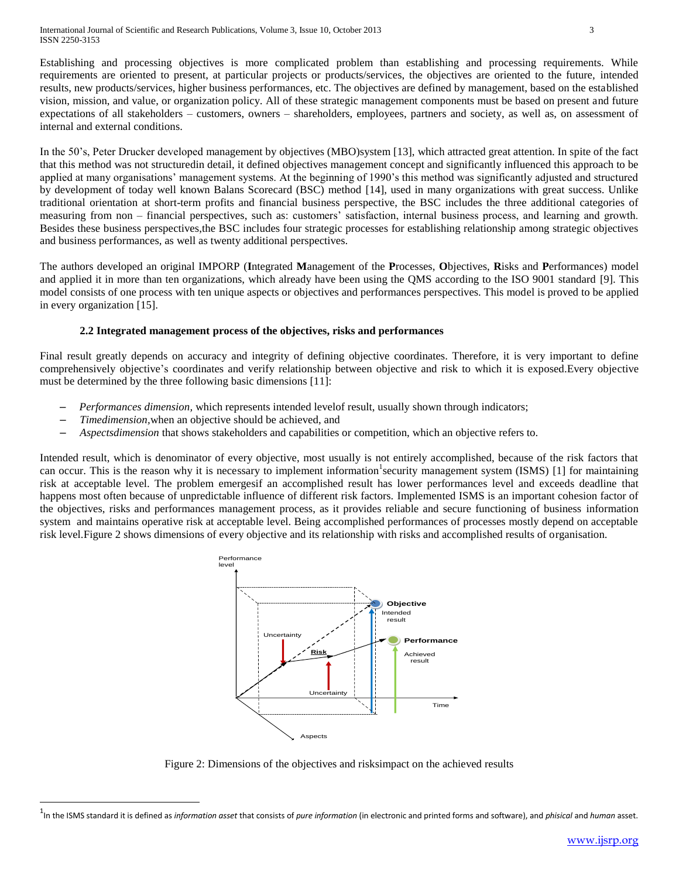Establishing and processing objectives is more complicated problem than establishing and processing requirements. While requirements are oriented to present, at particular projects or products/services, the objectives are oriented to the future, intended results, new products/services, higher business performances, etc. The objectives are defined by management, based on the established vision, mission, and value, or organization policy. All of these strategic management components must be based on present and future expectations of all stakeholders – customers, owners – shareholders, employees, partners and society, as well as, on assessment of internal and external conditions.

In the 50's, Peter Drucker developed management by objectives (MBO)system [13], which attracted great attention. In spite of the fact that this method was not structuredin detail, it defined objectives management concept and significantly influenced this approach to be applied at many organisations' management systems. At the beginning of 1990's this method was significantly adjusted and structured by development of today well known Balans Scorecard (BSC) method [14], used in many organizations with great success. Unlike traditional orientation at short-term profits and financial business perspective, the BSC includes the three additional categories of measuring from non – financial perspectives, such as: customers' satisfaction, internal business process, and learning and growth. Besides these business perspectives,the BSC includes four strategic processes for establishing relationship among strategic objectives and business performances, as well as twenty additional perspectives.

The authors developed an original IMPORP (**I**ntegrated **M**anagement of the **P**rocesses, **O**bjectives, **R**isks and **P**erformances) model and applied it in more than ten organizations, which already have been using the QMS according to the ISO 9001 standard [9]. This model consists of one process with ten unique aspects or objectives and performances perspectives. This model is proved to be applied in every organization [15].

# **2.2 Integrated management process of the objectives, risks and performances**

Final result greatly depends on accuracy and integrity of defining objective coordinates. Therefore, it is very important to define comprehensively objective's coordinates and verify relationship between objective and risk to which it is exposed.Every objective must be determined by the three following basic dimensions [11]:

- *Performances dimension,* which represents intended levelof result, usually shown through indicators;
- *Timedimension,*when an objective should be achieved, and

l

– *Aspectsdimension* that shows stakeholders and capabilities or competition, which an objective refers to.

Intended result, which is denominator of every objective, most usually is not entirely accomplished, because of the risk factors that can occur. This is the reason why it is necessary to implement information security management system (ISMS) [1] for maintaining risk at acceptable level. The problem emergesif an accomplished result has lower performances level and exceeds deadline that happens most often because of unpredictable influence of different risk factors. Implemented ISMS is an important cohesion factor of the objectives, risks and performances management process, as it provides reliable and secure functioning of business information system and maintains operative risk at acceptable level. Being accomplished performances of processes mostly depend on acceptable risk level.Figure 2 shows dimensions of every objective and its relationship with risks and accomplished results of organisation.



Figure 2: Dimensions of the objectives and risksimpact on the achieved results

<sup>1</sup> In the ISMS standard it is defined as *information asset* that consists of *pure information* (in electronic and printed forms and software), and *phisical* and *human* asset.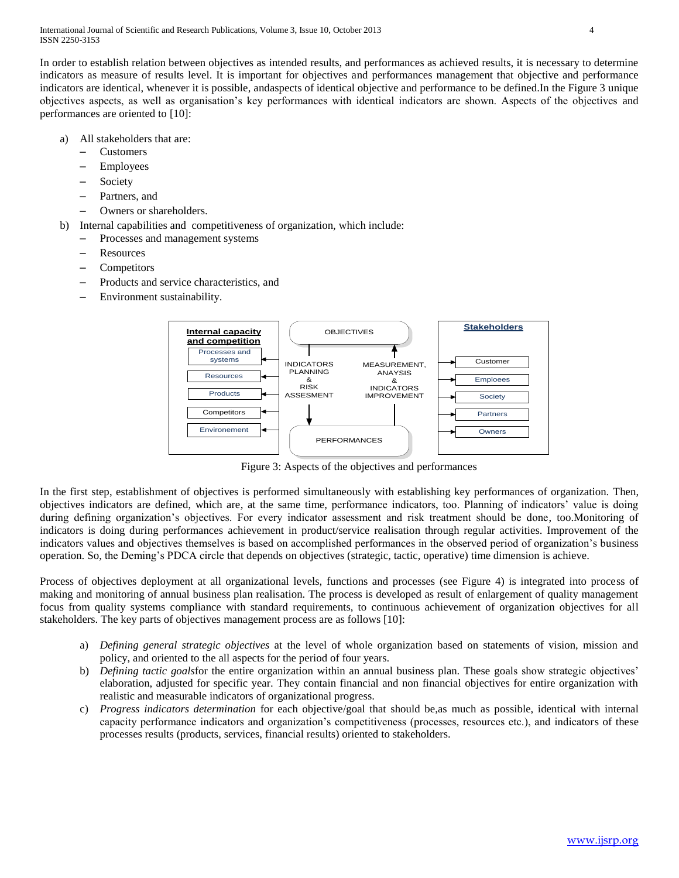In order to establish relation between objectives as intended results, and performances as achieved results, it is necessary to determine indicators as measure of results level. It is important for objectives and performances management that objective and performance indicators are identical, whenever it is possible, andaspects of identical objective and performance to be defined.In the Figure 3 unique objectives aspects, as well as organisation's key performances with identical indicators are shown. Aspects of the objectives and performances are oriented to [10]:

- a) All stakeholders that are:
	- Customers
	- Employees
	- **Society**
	- Partners, and
	- Owners or shareholders.
- b) Internal capabilities and competitiveness of organization, which include:
	- Processes and management systems
	- Resources
	- **Competitors**
	- Products and service characteristics, and
	- Environment sustainability.



Figure 3: Aspects of the objectives and performances

In the first step, establishment of objectives is performed simultaneously with establishing key performances of organization. Then, objectives indicators are defined, which are, at the same time, performance indicators, too. Planning of indicators' value is doing during defining organization's objectives. For every indicator assessment and risk treatment should be done, too.Monitoring of indicators is doing during performances achievement in product/service realisation through regular activities. Improvement of the indicators values and objectives themselves is based on accomplished performances in the observed period of organization's business operation. So, the Deming's PDCA circle that depends on objectives (strategic, tactic, operative) time dimension is achieve.

Process of objectives deployment at all organizational levels, functions and processes (see Figure 4) is integrated into process of making and monitoring of annual business plan realisation. The process is developed as result of enlargement of quality management focus from quality systems compliance with standard requirements, to continuous achievement of organization objectives for all stakeholders. The key parts of objectives management process are as follows [10]:

- a) *Defining general strategic objectives* at the level of whole organization based on statements of vision, mission and policy, and oriented to the all aspects for the period of four years.
- b) *Defining tactic goals*for the entire organization within an annual business plan. These goals show strategic objectives' elaboration, adjusted for specific year. They contain financial and non financial objectives for entire organization with realistic and measurable indicators of organizational progress.
- c) *Progress indicators determination* for each objective/goal that should be,as much as possible, identical with internal capacity performance indicators and organization's competitiveness (processes, resources etc.), and indicators of these processes results (products, services, financial results) oriented to stakeholders.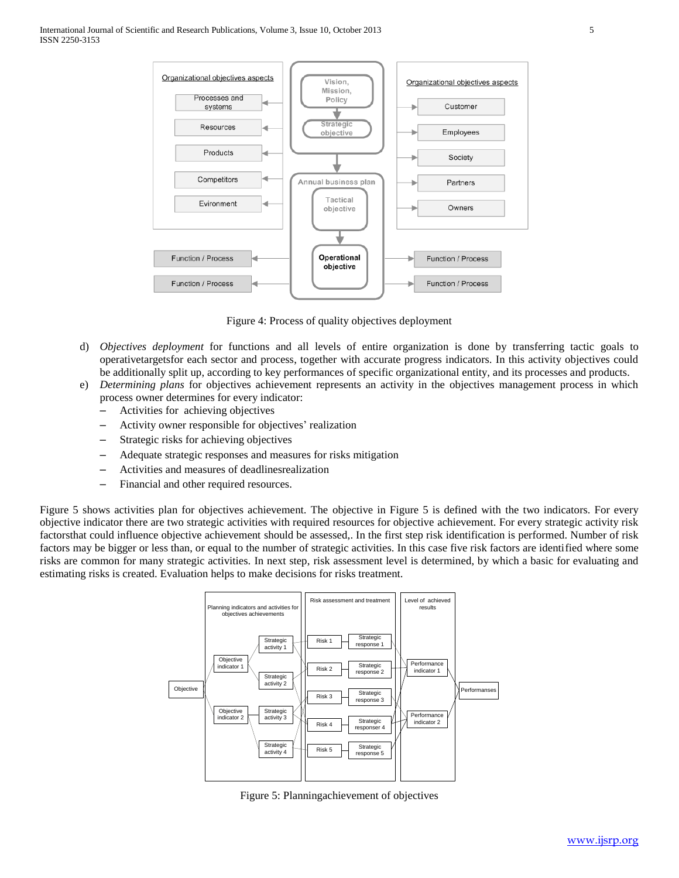

Figure 4: Process of quality objectives deployment

- d) *Objectives deployment* for functions and all levels of entire organization is done by transferring tactic goals to operativetargetsfor each sector and process, together with accurate progress indicators. In this activity objectives could be additionally split up, according to key performances of specific organizational entity, and its processes and products.
- e) *Determining plans* for objectives achievement represents an activity in the objectives management process in which process owner determines for every indicator:
	- Activities for achieving objectives
	- Activity owner responsible for objectives' realization
	- Strategic risks for achieving objectives
	- Adequate strategic responses and measures for risks mitigation
	- Activities and measures of deadlinesrealization
	- Financial and other required resources.

Figure 5 shows activities plan for objectives achievement. The objective in Figure 5 is defined with the two indicators. For every objective indicator there are two strategic activities with required resources for objective achievement. For every strategic activity risk factorsthat could influence objective achievement should be assessed,. In the first step risk identification is performed. Number of risk factors may be bigger or less than, or equal to the number of strategic activities. In this case five risk factors are identified where some risks are common for many strategic activities. In next step, risk assessment level is determined, by which a basic for evaluating and estimating risks is created. Evaluation helps to make decisions for risks treatment.



Figure 5: Planningachievement of objectives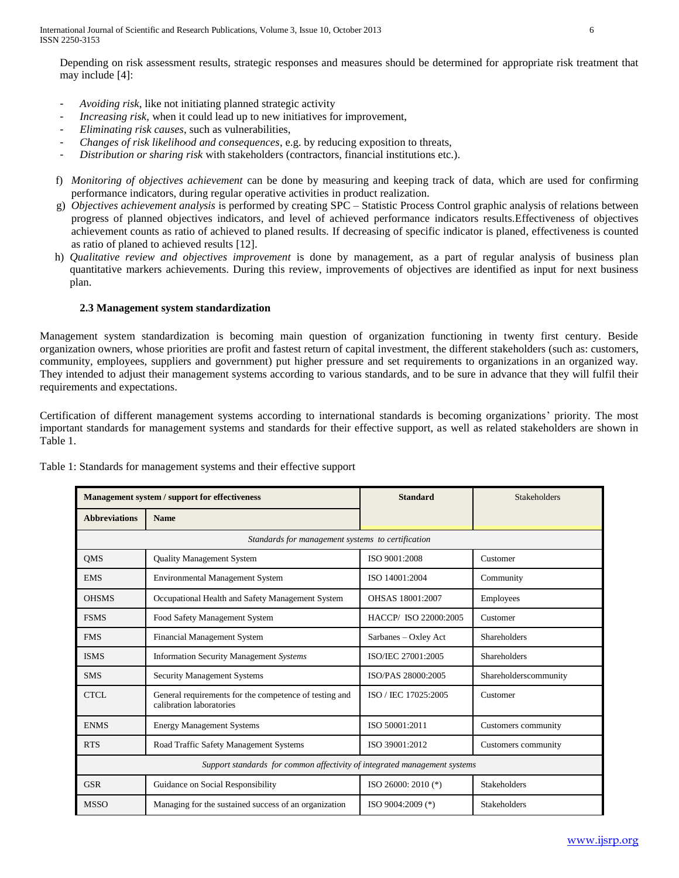Depending on risk assessment results, strategic responses and measures should be determined for appropriate risk treatment that may include [4]:

- *Avoiding risk*, like not initiating planned strategic activity
- *Increasing risk*, when it could lead up to new initiatives for improvement,
- *Eliminating risk causes*, such as vulnerabilities,
- *Changes of risk likelihood and consequences*, e.g. by reducing exposition to threats,
- *Distribution or sharing risk* with stakeholders (contractors, financial institutions etc.).
- f) *Monitoring of objectives achievement* can be done by measuring and keeping track of data, which are used for confirming performance indicators, during regular operative activities in product realization.
- g) *Objectives achievement analysis* is performed by creating SPC Statistic Process Control graphic analysis of relations between progress of planned objectives indicators, and level of achieved performance indicators results.Effectiveness of objectives achievement counts as ratio of achieved to planed results. If decreasing of specific indicator is planed, effectiveness is counted as ratio of planed to achieved results [12].
- h) *Qualitative review and objectives improvement* is done by management, as a part of regular analysis of business plan quantitative markers achievements. During this review, improvements of objectives are identified as input for next business plan.

# **2.3 Management system standardization**

Management system standardization is becoming main question of organization functioning in twenty first century. Beside organization owners, whose priorities are profit and fastest return of capital investment, the different stakeholders (such as: customers, community, employees, suppliers and government) put higher pressure and set requirements to organizations in an organized way. They intended to adjust their management systems according to various standards, and to be sure in advance that they will fulfil their requirements and expectations.

Certification of different management systems according to international standards is becoming organizations' priority. The most important standards for management systems and standards for their effective support, as well as related stakeholders are shown in Table 1.

| Management system / support for effectiveness                             |                                                                                    | <b>Standard</b>      | <b>Stakeholders</b>   |  |
|---------------------------------------------------------------------------|------------------------------------------------------------------------------------|----------------------|-----------------------|--|
| <b>Abbreviations</b>                                                      | <b>Name</b>                                                                        |                      |                       |  |
| Standards for management systems to certification                         |                                                                                    |                      |                       |  |
| <b>QMS</b>                                                                | <b>Quality Management System</b>                                                   | ISO 9001:2008        | Customer              |  |
| <b>EMS</b>                                                                | <b>Environmental Management System</b>                                             | ISO 14001:2004       | Community             |  |
| <b>OHSMS</b>                                                              | Occupational Health and Safety Management System                                   | OHSAS 18001:2007     | Employees             |  |
| <b>FSMS</b>                                                               | Food Safety Management System                                                      | HACCP/ISO 22000:2005 | Customer              |  |
| <b>FMS</b>                                                                | Financial Management System                                                        | Sarbanes – Oxley Act | <b>Shareholders</b>   |  |
| <b>ISMS</b>                                                               | <b>Information Security Management Systems</b>                                     | ISO/IEC 27001:2005   | <b>Shareholders</b>   |  |
| <b>SMS</b>                                                                | <b>Security Management Systems</b>                                                 | ISO/PAS 28000:2005   | Shareholderscommunity |  |
| CTCL                                                                      | General requirements for the competence of testing and<br>calibration laboratories | ISO / IEC 17025:2005 | Customer              |  |
| <b>ENMS</b>                                                               | <b>Energy Management Systems</b>                                                   | ISO 50001:2011       | Customers community   |  |
| <b>RTS</b>                                                                | Road Traffic Safety Management Systems                                             | ISO 39001:2012       | Customers community   |  |
| Support standards for common affectivity of integrated management systems |                                                                                    |                      |                       |  |
| <b>GSR</b>                                                                | Guidance on Social Responsibility                                                  | ISO 26000: 2010 (*)  | <b>Stakeholders</b>   |  |
| <b>MSSO</b>                                                               | Managing for the sustained success of an organization                              | ISO 9004:2009 (*)    | <b>Stakeholders</b>   |  |

Table 1: Standards for management systems and their effective support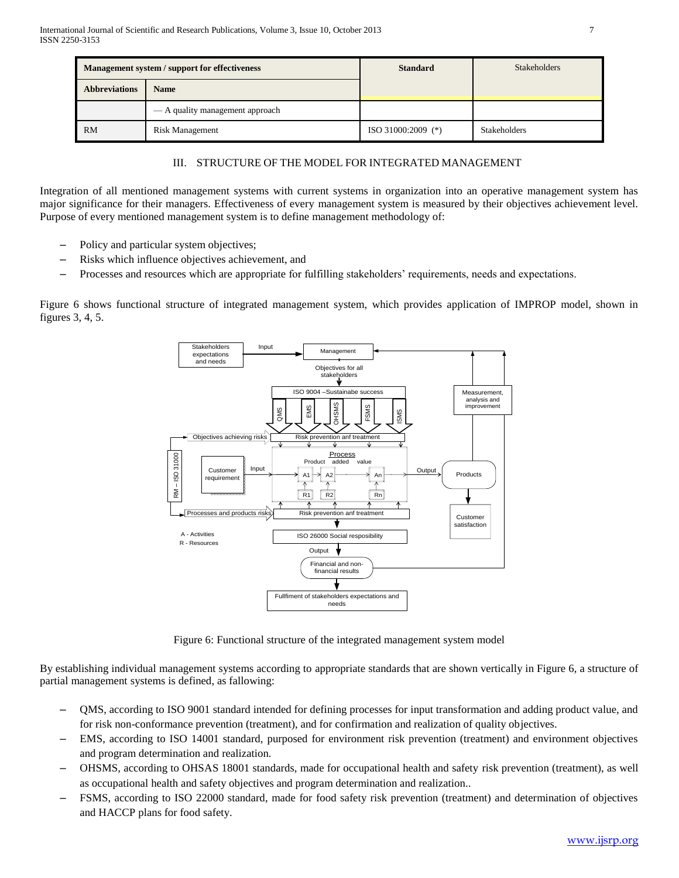| <b>Management system / support for effectiveness</b> |                                 | <b>Standard</b>      | <b>Stakeholders</b> |
|------------------------------------------------------|---------------------------------|----------------------|---------------------|
| <b>Abbreviations</b>                                 | <b>Name</b>                     |                      |                     |
|                                                      | — A quality management approach |                      |                     |
| <b>RM</b>                                            | <b>Risk Management</b>          | $ISO 31000:2009$ (*) | <b>Stakeholders</b> |

# III. STRUCTURE OF THE MODEL FOR INTEGRATED MANAGEMENT

Integration of all mentioned management systems with current systems in organization into an operative management system has major significance for their managers. Effectiveness of every management system is measured by their objectives achievement level. Purpose of every mentioned management system is to define management methodology of:

- Policy and particular system objectives;
- Risks which influence objectives achievement, and
- Processes and resources which are appropriate for fulfilling stakeholders' requirements, needs and expectations.

Figure 6 shows functional structure of integrated management system, which provides application of IMPROP model, shown in figures 3, 4, 5.



Figure 6: Functional structure of the integrated management system model

By establishing individual management systems according to appropriate standards that are shown vertically in Figure 6, a structure of partial management systems is defined, as fallowing:

- QMS, according to ISO 9001 standard intended for defining processes for input transformation and adding product value, and for risk non-conformance prevention (treatment), and for confirmation and realization of quality objectives.
- EMS, according to ISO 14001 standard, purposed for environment risk prevention (treatment) and environment objectives and program determination and realization.
- OHSMS, according to OHSAS 18001 standards, made for occupational health and safety risk prevention (treatment), as well as occupational health and safety objectives and program determination and realization..
- FSMS, according to ISO 22000 standard, made for food safety risk prevention (treatment) and determination of objectives and HACCP plans for food safety.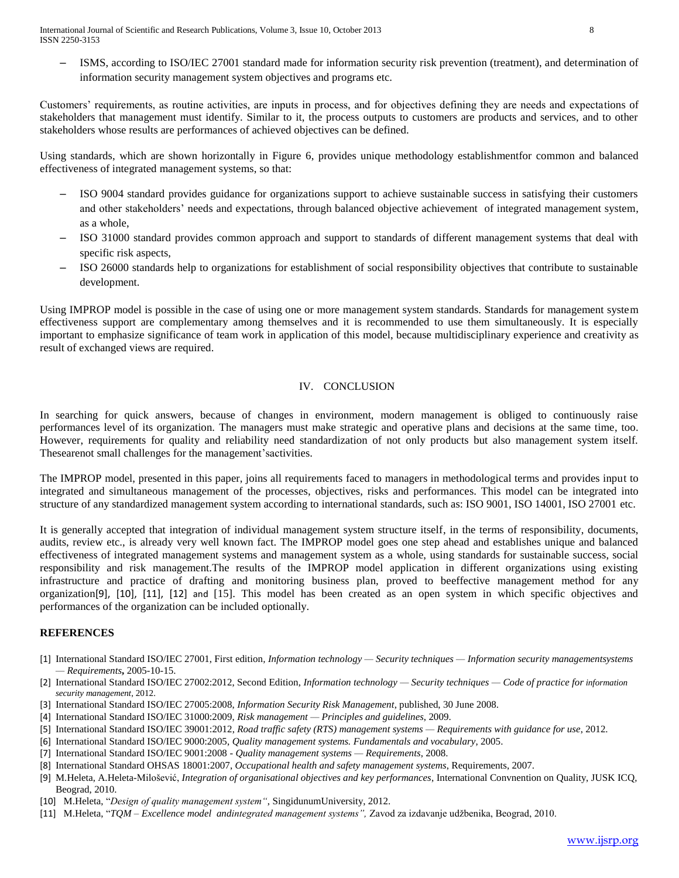International Journal of Scientific and Research Publications, Volume 3, Issue 10, October 2013 8 ISSN 2250-3153

– ISMS, according to ISO/IEC 27001 standard made for information security risk prevention (treatment), and determination of information security management system objectives and programs etc.

Customers' requirements, as routine activities, are inputs in process, and for objectives defining they are needs and expectations of stakeholders that management must identify. Similar to it, the process outputs to customers are products and services, and to other stakeholders whose results are performances of achieved objectives can be defined.

Using standards, which are shown horizontally in Figure 6, provides unique methodology establishmentfor common and balanced effectiveness of integrated management systems, so that:

- ISO 9004 standard provides guidance for organizations support to achieve sustainable success in satisfying their customers and other stakeholders' needs and expectations, through balanced objective achievement of integrated management system, as a whole,
- ISO 31000 standard provides common approach and support to standards of different management systems that deal with specific risk aspects,
- ISO 26000 standards help to organizations for establishment of social responsibility objectives that contribute to sustainable development.

Using IMPROP model is possible in the case of using one or more management system standards. Standards for management system effectiveness support are complementary among themselves and it is recommended to use them simultaneously. It is especially important to emphasize significance of team work in application of this model, because multidisciplinary experience and creativity as result of exchanged views are required.

# IV. CONCLUSION

In searching for quick answers, because of changes in environment, modern management is obliged to continuously raise performances level of its organization. The managers must make strategic and operative plans and decisions at the same time, too. However, requirements for quality and reliability need standardization of not only products but also management system itself. Thesearenot small challenges for the management'sactivities.

The IMPROP model, presented in this paper, joins all requirements faced to managers in methodological terms and provides input to integrated and simultaneous management of the processes, objectives, risks and performances. This model can be integrated into structure of any standardized management system according to international standards, such as: ISO 9001, ISO 14001, ISO 27001 etc.

It is generally accepted that integration of individual management system structure itself, in the terms of responsibility, documents, audits, review etc., is already very well known fact. The IMPROP model goes one step ahead and establishes unique and balanced effectiveness of integrated management systems and management system as a whole, using standards for sustainable success, social responsibility and risk management.The results of the IMPROP model application in different organizations using existing infrastructure and practice of drafting and monitoring business plan, proved to beeffective management method for any organization[9], [10], [11], [12] and [15]. This model has been created as an open system in which specific objectives and performances of the organization can be included optionally.

## **REFERENCES**

- [1] International Standard ISO/IEC 27001, First edition*, Information technology — Security techniques — Information security managementsystems — Requirements***,** 2005-10-15.
- [2] International Standard ISO/IEC 27002:2012, Second Edition, *Information technology — Security techniques — Code of practice for information security management*, 2012.
- [3] International Standard ISO/IEC 27005:2008, *Information Security Risk Management*, published, 30 June 2008.
- [4] International Standard ISO/IEC 31000:2009, *Risk management — Principles and guidelines*, 2009.
- [5] International Standard ISO/IEC 39001:2012, *Road traffic safety (RTS) management systems — Requirements with guidance for use*, 2012.
- [6] International Standard ISO/IEC 9000:2005, *Quality management systems. Fundamentals and vocabulary*, 2005.
- [7] International Standard ISO/IEC 9001:2008 *Quality management systems — Requirements*, 2008.
- [8] International Standard OHSAS 18001:2007, *Occupational health and safety management systems*, Requirements, 2007.
- [9] M.Heleta, A.Heleta-Milošević, *Integration of organisational objectives and key performances*, International Convnention on Quality, JUSK ICQ, Beograd, 2010.
- [10] M.Heleta, "*Design of quality management system*", SingidunumUniversity, 2012.
- [11] M.Heleta, ―*TQM – Excellence model andintegrated management systems‖,* Zavod za izdavanje udžbenika, Beograd, 2010.